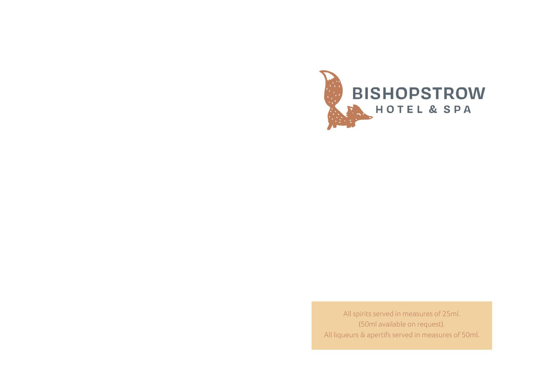

All spirits served in measures of 25ml. (50ml available on request). All liqueurs & apertifs served in measures of 50ml.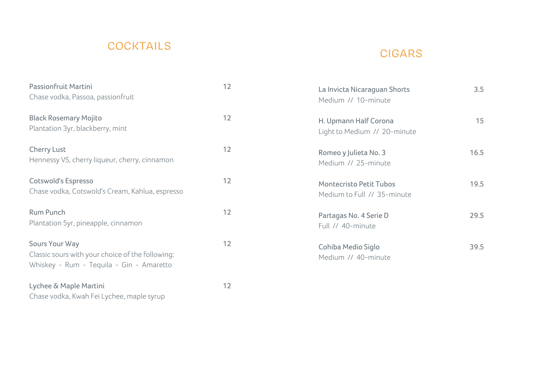# COCKTAILS

## CIGARS

| Passionfruit Martini<br>Chase vodka, Passoa, passionfruit                                                      | 12 | La Invicta Nicaraguan Shorts<br>Medium // 10-minute           | 3.5  |
|----------------------------------------------------------------------------------------------------------------|----|---------------------------------------------------------------|------|
| <b>Black Rosemary Mojito</b><br>Plantation 3yr, blackberry, mint                                               | 12 | H. Upmann Half Corona<br>Light to Medium // 20-minute         | 15   |
| <b>Cherry Lust</b><br>Hennessy VS, cherry liqueur, cherry, cinnamon                                            | 12 | Romeo y Julieta No. 3<br>Medium // 25-minute                  | 16.5 |
| Cotswold's Espresso<br>Chase vodka, Cotswold's Cream, Kahlua, espresso                                         | 12 | <b>Montecristo Petit Tubos</b><br>Medium to Full // 35-minute | 19.5 |
| <b>Rum Punch</b><br>Plantation 5yr, pineapple, cinnamon                                                        | 12 | Partagas No. 4 Serie D<br>Full // 40-minute                   | 29.5 |
| Sours Your Way<br>Classic sours with your choice of the following:<br>Whiskey - Rum - Tequila - Gin - Amaretto | 12 | Cohiba Medio Siglo<br>Medium // 40-minute                     | 39.5 |
| Lychee & Maple Martini<br>Chase vodka, Kwah Fei Lychee, maple syrup                                            | 12 |                                                               |      |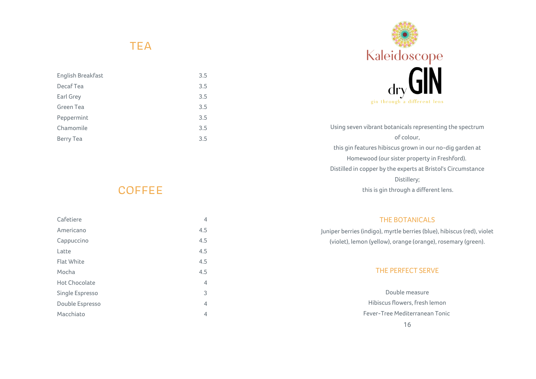#### **TEA**

| English Breakfast | 3.5 |
|-------------------|-----|
| Decaf Tea         | 3.5 |
| Earl Grey         | 3.5 |
| Green Tea         | 3.5 |
| Peppermint        | 3.5 |
| Chamomile         | 3.5 |
| Berry Tea         | 3.5 |



Using seven vibrant botanicals representing the spectrum of colour, this gin features hibiscus grown in our no-dig garden at Homewood (our sister property in Freshford). Distilled in copper by the experts at Bristol's Circumstance Distillery; this is gin through a different lens.

#### **COFFEE**

| Cafetiere            | 4   |
|----------------------|-----|
| Americano            | 4.5 |
| Cappuccino           | 4.5 |
| Latte                | 4.5 |
| <b>Flat White</b>    | 4.5 |
| Mocha                | 4.5 |
| <b>Hot Chocolate</b> | 4   |
| Single Espresso      | 3   |
| Double Espresso      | 4   |
| Macchiato            | 4   |

#### THE BOTANICALS

Juniper berries (indigo), myrtle berries (blue), hibiscus (red), violet (violet), lemon (yellow), orange (orange), rosemary (green).

#### THE PERFECT SERVE

Double measure Hibiscus flowers, fresh lemon Fever-Tree Mediterranean Tonic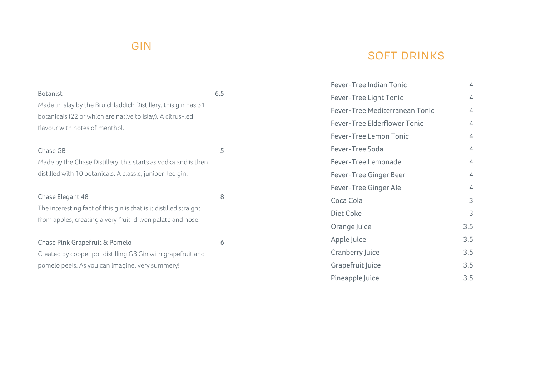# GIN

# SOFT DRINKS

|                                                                                              |     | Fever-Tree Indian Tonic             | 4              |
|----------------------------------------------------------------------------------------------|-----|-------------------------------------|----------------|
| <b>Botanist</b>                                                                              | 6.5 | <b>Fever-Tree Light Tonic</b>       | $\overline{4}$ |
| Made in Islay by the Bruichladdich Distillery, this gin has 31                               |     | Fever-Tree Mediterranean Tonic      | $\overline{4}$ |
| botanicals (22 of which are native to Islay). A citrus-led<br>flavour with notes of menthol. |     | <b>Fever-Tree Elderflower Tonic</b> | $\overline{4}$ |
|                                                                                              |     | <b>Fever-Tree Lemon Tonic</b>       | $\overline{4}$ |
| Chase GB                                                                                     | 5   | Fever-Tree Soda                     | 4              |
| Made by the Chase Distillery, this starts as vodka and is then                               |     | Fever-Tree Lemonade                 | $\overline{4}$ |
| distilled with 10 botanicals. A classic, juniper-led gin.                                    |     | <b>Fever-Tree Ginger Beer</b>       | 4              |
|                                                                                              |     | Fever-Tree Ginger Ale               | $\overline{4}$ |
| Chase Elegant 48                                                                             | 8   | Coca Cola                           | 3              |
| The interesting fact of this gin is that is it distilled straight                            |     | Diet Coke                           | 3              |
| from apples; creating a very fruit-driven palate and nose.                                   |     | Orange Juice                        | 3.5            |
| Chase Pink Grapefruit & Pomelo                                                               | 6   | Apple Juice                         | 3.5            |
| Created by copper pot distilling GB Gin with grapefruit and                                  |     | <b>Cranberry Juice</b>              | 3.5            |
| pomelo peels. As you can imagine, very summery!                                              |     | Grapefruit Juice                    | 3.5            |
|                                                                                              |     | Pineapple Juice                     | 3.5            |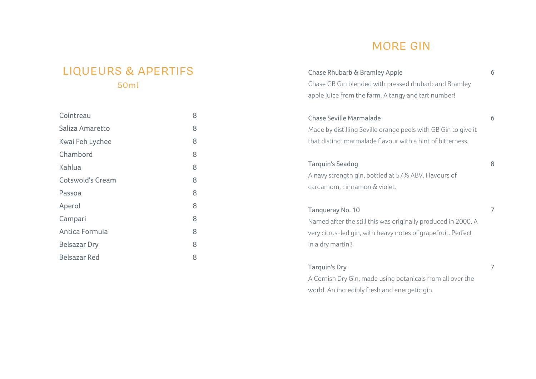## MORE GIN

#### LIQUEURS & APERTIFS 50ml

| Cointreau               | 8 |
|-------------------------|---|
| Saliza Amaretto         | 8 |
| Kwai Feh Lychee         | 8 |
| Chambord                | 8 |
| Kahlua                  | 8 |
| <b>Cotswold's Cream</b> | 8 |
| Passoa                  | 8 |
| Aperol                  | 8 |
| Campari                 | 8 |
| Antica Formula          | 8 |
| <b>Belsazar Dry</b>     | 8 |
| <b>Belsazar Red</b>     | 8 |

| Chase Rhubarb & Bramley Apple<br>Chase GB Gin blended with pressed rhubarb and Bramley | 6 |
|----------------------------------------------------------------------------------------|---|
| apple juice from the farm. A tangy and tart number!                                    |   |
| <b>Chase Seville Marmalade</b>                                                         | 6 |
| Made by distilling Seville orange peels with GB Gin to give it                         |   |
| that distinct marmalade flavour with a hint of bitterness.                             |   |
| <b>Tarquin's Seadog</b>                                                                | 8 |
| A navy strength gin, bottled at 57% ABV. Flavours of                                   |   |
| cardamom, cinnamon & violet.                                                           |   |
| Tanqueray No. 10                                                                       | 7 |
| Named after the still this was originally produced in 2000. A                          |   |
| very citrus-led gin, with heavy notes of grapefruit. Perfect                           |   |
| in a dry martini!                                                                      |   |
| <b>Tarquin's Dry</b>                                                                   | 7 |
|                                                                                        |   |

A Cornish Dry Gin, made using botanicals from all over the world. An incredibly fresh and energetic gin.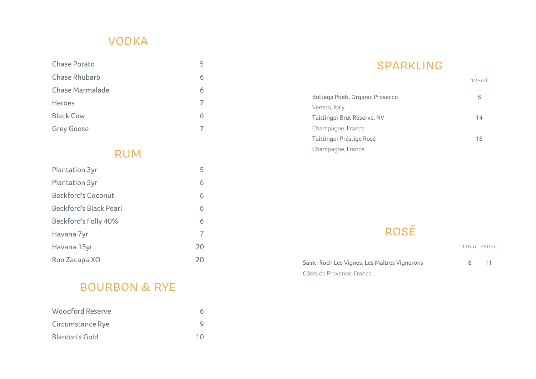# VODKA

| <b>Chase Potato</b>    |   |
|------------------------|---|
| <b>Chase Rhubarb</b>   | 6 |
| <b>Chase Marmalade</b> | 6 |
| Heroes                 |   |
| <b>Black Cow</b>       | 6 |
| <b>Grey Goose</b>      |   |

#### RUM

| <b>Plantation 3yr</b>         | 5  |
|-------------------------------|----|
| <b>Plantation 5yr</b>         | 6  |
| <b>Beckford's Coconut</b>     | 6  |
| <b>Beckford's Black Pearl</b> | 6  |
| Beckford's Folly 40%          | 6  |
| Havana 7yr                    | 7  |
| Havana 15yr                   | 20 |
| Ron Zacapa XO                 | 20 |

## BOURBON & RYE

| Woodford Reserve |    |
|------------------|----|
| Circumstance Rye | g  |
| Blanton's Gold   | 10 |

## SPARKLING

|                                 | 125ml |
|---------------------------------|-------|
| Bottega Poeti, Organic Prosecco | 8     |
| Veneto, Italy                   |       |
| Taittinger Brut Réserve, NV     | 14    |
| Champagne. France               |       |
| Taittinger Préstige Rosé        | 18    |
| Champagne, France               |       |

# ROSÉ

|                                              | 175ml 250ml |    |
|----------------------------------------------|-------------|----|
| Saint-Roch Les Vignes, Les Maîtres Vignerons | 8           | 11 |
| Côtes de Provence, France                    |             |    |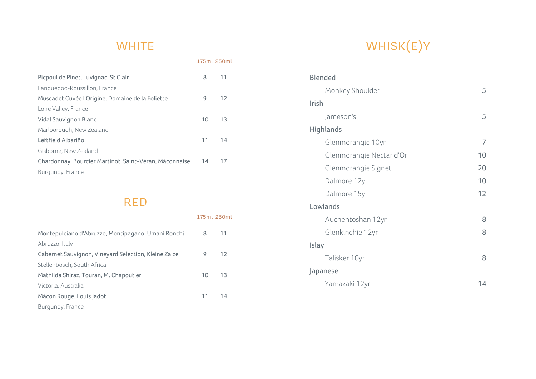## **WHITE**

175ml 250ml

| Picpoul de Pinet, Luvignac, St Clair                   | 8  | 11 |
|--------------------------------------------------------|----|----|
| Languedoc-Roussillon, France                           |    |    |
| Muscadet Cuvée l'Origine, Domaine de la Foliette       | 9  | 12 |
| Loire Valley, France                                   |    |    |
| Vidal Sauvignon Blanc                                  | 10 | 13 |
| Marlborough, New Zealand                               |    |    |
| Leftfield Albariño                                     | 11 | 14 |
| Gisborne, New Zealand                                  |    |    |
| Chardonnay, Bourcier Martinot, Saint-Véran, Mâconnaise | 14 | 17 |
| Burgundy, France                                       |    |    |

## R E D

|                                                      | 175ml 250ml     |     |
|------------------------------------------------------|-----------------|-----|
| Montepulciano d'Abruzzo, Montipagano, Umani Ronchi   | 8               | 11  |
| Abruzzo, Italy                                       |                 |     |
| Cabernet Sauvignon, Vineyard Selection, Kleine Zalze | 9               | 12  |
| Stellenbosch, South Africa                           |                 |     |
| Mathilda Shiraz, Touran, M. Chapoutier               | 10 <sup>1</sup> | -13 |
| Victoria, Australia                                  |                 |     |
| Mâcon Rouge, Louis Jadot                             | 11              | 14  |
| Burgundy, France                                     |                 |     |

# WHISK(E)Y

| <b>Blended</b>           |    |
|--------------------------|----|
| Monkey Shoulder          | 5  |
| Irish                    |    |
| Jameson's                | 5  |
| Highlands                |    |
| Glenmorangie 10yr        | 7  |
| Glenmorangie Nectar d'Or | 10 |
| Glenmorangie Signet      | 20 |
| Dalmore 12yr             | 10 |
| Dalmore 15yr             | 12 |
| Lowlands                 |    |
| Auchentoshan 12yr        | 8  |
| Glenkinchie 12yr         | 8  |
| Islay                    |    |
| Talisker 10yr            | 8  |
| Japanese                 |    |
| Yamazaki 12yr            | 14 |
|                          |    |